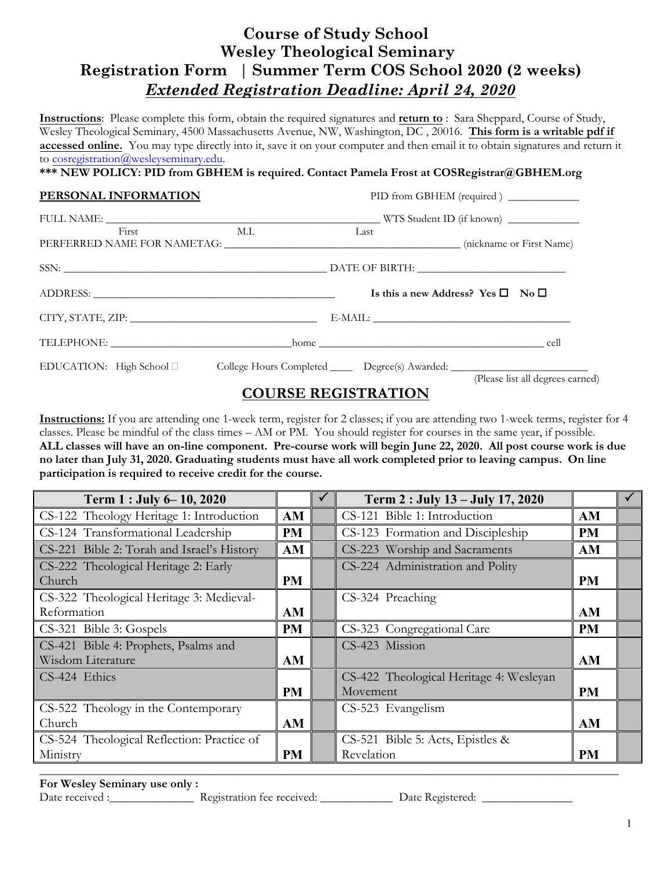# **Course of Study School Wesley Theological Seminary Registration Form │ Summer Term COS School 2020 (2 weeks)**  *Extended Registration Deadline: April 24, 2020*

**Instructions**: Please complete this form, obtain the required signatures and **return to** : Sara Sheppard, Course of Study, Wesley Theological Seminary, 4500 Massachusetts Avenue, NW, Washington, DC , 20016. **This form is a writable pdf if accessed online.** You may type directly into it, save it on your computer and then email it to obtain signatures and return it to [cosregistration@wesleyseminary.edu.](mailto:cosregistration@wesleyseminary.edu)

|  |  |  | *** NEW POLICY: PID from GBHEM is required. Contact Pamela Frost at COSRegistrar@GBHEM.org |  |
|--|--|--|--------------------------------------------------------------------------------------------|--|
|  |  |  |                                                                                            |  |

| PERSONAL INFORMATION                                                                                |      | PID from GBHEM (required) ___________             |
|-----------------------------------------------------------------------------------------------------|------|---------------------------------------------------|
|                                                                                                     |      |                                                   |
| <b>M.I.</b><br>First                                                                                | Last |                                                   |
|                                                                                                     |      |                                                   |
|                                                                                                     |      | Is this a new Address? Yes $\square$ No $\square$ |
|                                                                                                     |      |                                                   |
|                                                                                                     |      |                                                   |
| EDUCATION: High School □ College Hours Completed _______ Degree(s) Awarded: _______________________ |      |                                                   |
|                                                                                                     |      | (Please list all degrees earned)                  |

### **COURSE REGISTRATION**

**Instructions:** If you are attending one 1-week term, register for 2 classes; if you are attending two 1-week terms, register for 4 classes. Please be mindful of the class times – AM or PM. You should register for courses in the same year, if possible. **ALL classes will have an on-line component. Pre-course work will begin June 22, 2020. All post course work is due no later than July 31, 2020. Graduating students must have all work completed prior to leaving campus. On line participation is required to receive credit for the course.** 

| Term 1 : July 6 - 10, 2020                 |           | Term 2 : July 13 - July 17, 2020        |           |  |
|--------------------------------------------|-----------|-----------------------------------------|-----------|--|
| CS-122 Theology Heritage 1: Introduction   | AM        | CS-121 Bible 1: Introduction            | AM        |  |
| CS-124 Transformational Leadership         | <b>PM</b> | CS-123 Formation and Discipleship       | <b>PM</b> |  |
| CS-221 Bible 2: Torah and Israel's History | AM        | CS-223 Worship and Sacraments           | AM        |  |
| CS-222 Theological Heritage 2: Early       |           | CS-224 Administration and Polity        |           |  |
| Church                                     | <b>PM</b> |                                         | <b>PM</b> |  |
| CS-322 Theological Heritage 3: Medieval-   |           | CS-324 Preaching                        |           |  |
| Reformation                                | AM        |                                         | AM        |  |
| CS-321 Bible 3: Gospels                    | <b>PM</b> | CS-323 Congregational Care              | <b>PM</b> |  |
| CS-421 Bible 4: Prophets, Psalms and       |           | CS-423 Mission                          |           |  |
| Wisdom Literature                          | AM        |                                         | AM        |  |
| CS-424 Ethics                              |           | CS-422 Theological Heritage 4: Wesleyan |           |  |
|                                            | <b>PM</b> | Movement                                | <b>PM</b> |  |
| CS-522 Theology in the Contemporary        |           | CS-523 Evangelism                       |           |  |
| Church                                     | AM        |                                         | AM        |  |
| CS-524 Theological Reflection: Practice of |           | CS-521 Bible 5: Acts, Epistles &        |           |  |
| Ministry                                   | PM        | Revelation                              | <b>PM</b> |  |
|                                            |           |                                         |           |  |

### **For Wesley Seminary use only :**

Date received :\_\_\_\_\_\_\_\_\_\_\_\_\_\_ Registration fee received: \_\_\_\_\_\_\_\_\_\_\_\_ Date Registered: \_\_\_\_\_\_\_\_\_\_\_\_\_\_\_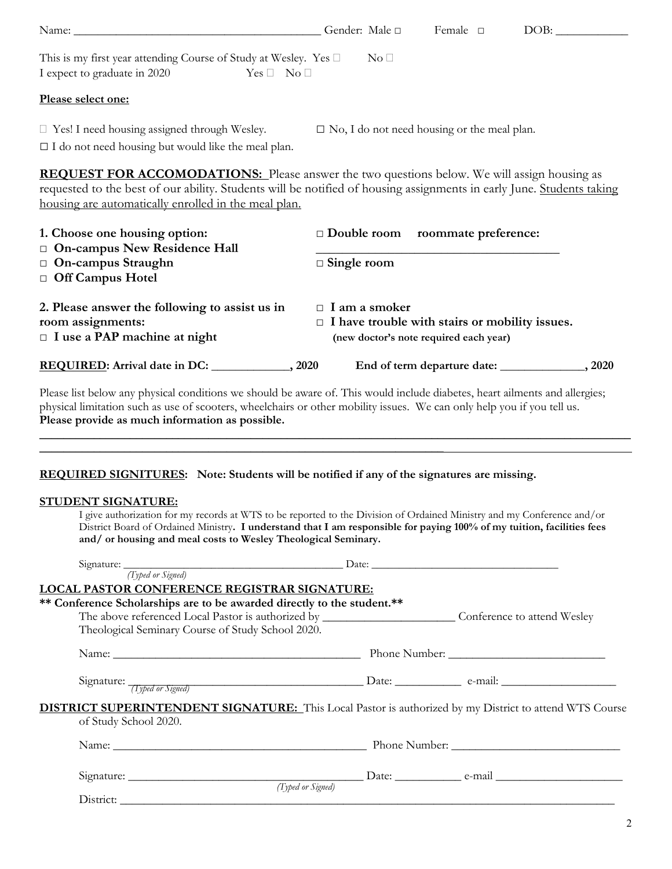| Name: Name Commission of the Commission of the Commission of the Commission of the Commission of the Commission of the Commission of the Commission of the Commission of the Commission of the Commission of the Commission of                                                                                                                           | Gender: Male □                                                                                                          | Female $\square$                  | DOB:   |
|----------------------------------------------------------------------------------------------------------------------------------------------------------------------------------------------------------------------------------------------------------------------------------------------------------------------------------------------------------|-------------------------------------------------------------------------------------------------------------------------|-----------------------------------|--------|
| This is my first year attending Course of Study at Wesley. Yes $\square$<br>I expect to graduate in 2020<br>$Yes \Box No \Box$                                                                                                                                                                                                                           | $\mathrm{No}\ \Box$                                                                                                     |                                   |        |
| Please select one:                                                                                                                                                                                                                                                                                                                                       |                                                                                                                         |                                   |        |
| $\Box$ Yes! I need housing assigned through Wesley.<br>$\Box$ I do not need housing but would like the meal plan.                                                                                                                                                                                                                                        | $\square$ No, I do not need housing or the meal plan.                                                                   |                                   |        |
| <b>REQUEST FOR ACCOMODATIONS:</b> Please answer the two questions below. We will assign housing as<br>requested to the best of our ability. Students will be notified of housing assignments in early June. Students taking<br>housing are automatically enrolled in the meal plan.                                                                      |                                                                                                                         |                                   |        |
| 1. Choose one housing option:<br>On-campus New Residence Hall                                                                                                                                                                                                                                                                                            | Double room roommate preference:                                                                                        |                                   |        |
| On-campus Straughn<br>Off Campus Hotel                                                                                                                                                                                                                                                                                                                   | $\Box$ Single room                                                                                                      |                                   |        |
| 2. Please answer the following to assist us in<br>room assignments:<br>$\Box$ I use a PAP machine at night                                                                                                                                                                                                                                               | $\Box$ I am a smoker<br>$\Box$ I have trouble with stairs or mobility issues.<br>(new doctor's note required each year) |                                   |        |
| REQUIRED: Arrival date in DC: _____________, 2020                                                                                                                                                                                                                                                                                                        |                                                                                                                         |                                   | , 2020 |
| Please list below any physical conditions we should be aware of. This would include diabetes, heart ailments and allergies;<br>physical limitation such as use of scooters, wheelchairs or other mobility issues. We can only help you if you tell us.<br>Please provide as much information as possible.                                                |                                                                                                                         |                                   |        |
| <b>REQUIRED SIGNITURES:</b> Note: Students will be notified if any of the signatures are missing.                                                                                                                                                                                                                                                        |                                                                                                                         |                                   |        |
| <b>STUDENT SIGNATURE:</b><br>I give authorization for my records at WTS to be reported to the Division of Ordained Ministry and my Conference and/or<br>District Board of Ordained Ministry. I understand that I am responsible for paying 100% of my tuition, facilities fees<br>and/ or housing and meal costs to Wesley Theological Seminary.         |                                                                                                                         |                                   |        |
| Signature: <u>Typed or Signed</u> (Typed or Signed)<br><b>LOCAL PASTOR CONFERENCE REGISTRAR SIGNATURE:</b><br>** Conference Scholarships are to be awarded directly to the student.**<br>The above referenced Local Pastor is authorized by ____________________________Conference to attend Wesley<br>Theological Seminary Course of Study School 2020. |                                                                                                                         |                                   |        |
|                                                                                                                                                                                                                                                                                                                                                          |                                                                                                                         |                                   |        |
|                                                                                                                                                                                                                                                                                                                                                          |                                                                                                                         |                                   |        |
| <b>DISTRICT SUPERINTENDENT SIGNATURE:</b> This Local Pastor is authorized by my District to attend WTS Course<br>of Study School 2020.                                                                                                                                                                                                                   |                                                                                                                         |                                   |        |
|                                                                                                                                                                                                                                                                                                                                                          |                                                                                                                         |                                   |        |
| $\mathfrak{g}$ .                                                                                                                                                                                                                                                                                                                                         | $\mathbf{D}$                                                                                                            | <b>Contract Contract Contract</b> |        |

| $\sim$<br>Signature: |                            | $\Delta$ Date: | . .<br>$2 - max$ |  |
|----------------------|----------------------------|----------------|------------------|--|
|                      | $\sim$<br>Typed or Signed) |                |                  |  |
| District:            |                            |                |                  |  |